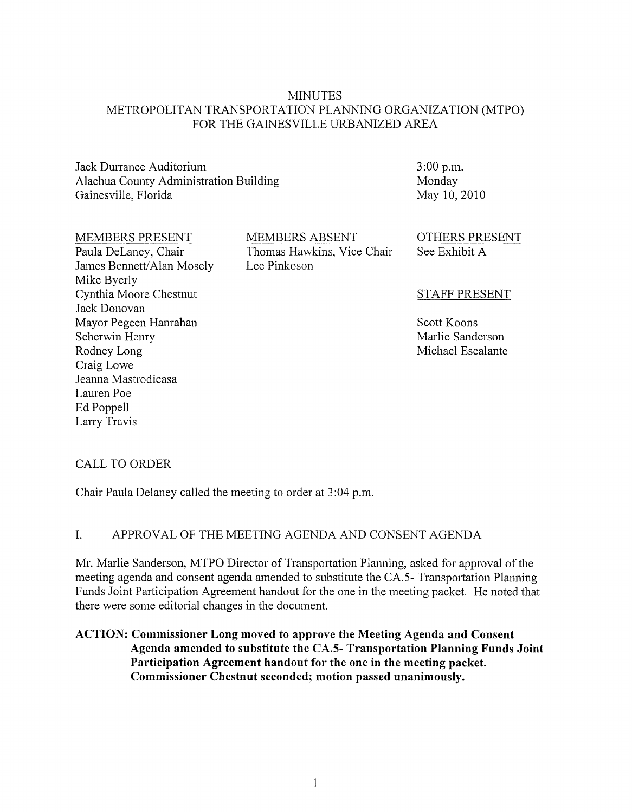#### MINUTES METROPOLITAN TRANSPORTATION PLANNING ORGANIZATION (MTPO) FOR THE GAINESVILLE URBANIZED AREA

Jack Durrance Auditorium Alachua County Administration Building Gainesville, Florida

3:00 p.m. Monday May 10,2010

#### MEMBERS PRESENT

Paula DeLaney, Chair James Bennett/Alan Mosely Mike Byerly Cynthia Moore Chestnut Jack Donovan Mayor Pegeen Hanrahan Scherwin Henry Rodney Long Craig Lowe Jeanna Mastrodicasa Lauren Poe Ed Poppell Larry Travis

MEMBERS ABSENT Thomas Hawkins, Vice Chair Lee Pinkoson

OTHERS PRESENT See Exhibit A

#### STAFF PRESENT

Scott Koons Marlie Sanderson Michael Escalante

#### CALL TO ORDER

Chair Paula Delaney called the meeting to order at 3 :04 p.m.

#### I. APPROV AL OF THE MEETING AGENDA AND CONSENT AGENDA

Mr. Marlie Sanderson, MTPO Director of Transportation Planning, asked for approval of the meeting agenda and consent agenda amended to substitute the CA.S- Transportation Plarming Funds Joint Participation Agreement handout for the one in the meeting packet. He noted that there were some editorial changes in the document.

### **ACTION: Commissioner Long moved to approve the Meeting Agenda and Consent Agenda amended to substitute the CA.S- Transportation Planning Funds Joint Participation Agreement handout for the one in the meeting packet. Commissioner Chestnut seconded; motion passed unanimously.**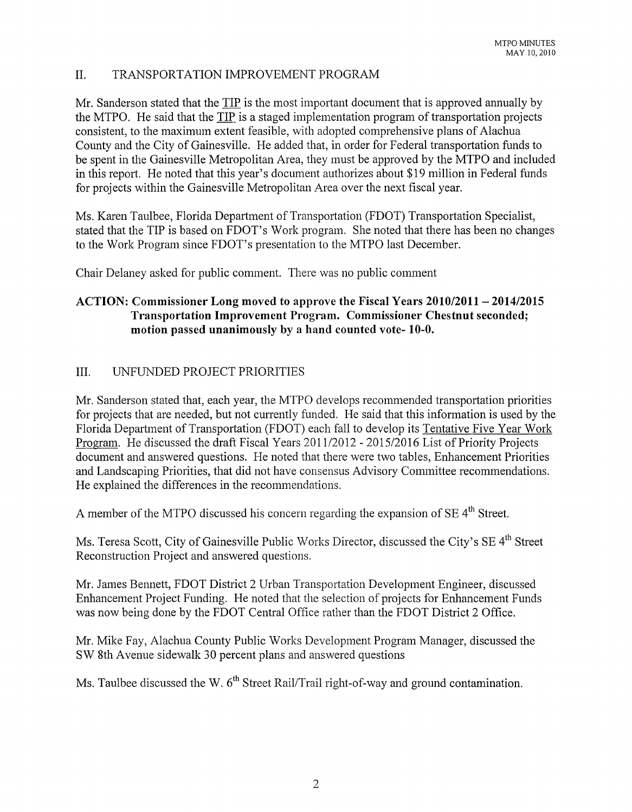# II. TRANSPORTATION IMPROVEMENT PROGRAM

Mr. Sanderson stated that the  $TIP$  is the most important document that is approved annually by the MTPO. He said that the TIP is a staged implementation program of transportation projects consistent, to the maximum extent feasible, with adopted comprehensive plans of Alachua County and the City of Gainesville. He added that, in order for Federal transportation funds to be spent in the Gainesville Metropolitan Area, they must be approved by the MTPO and included in this report. He noted that this year's document authorizes about \$19 million in Federal funds for projects within the Gainesville Metropolitan Area over the next fiscal year.

Ms. Karen Taulbee, Florida Department of Transportation (FDOT) Transportation Specialist, stated that the TIP is based on FDOT's Work program. She noted that there has been no changes to the Work Program since FDOT's presentation to the MTPO last December.

Chair Delaney asked for public comment. There was no public comment

# **ACTION: Commissioner Long moved to approve the Fiscal Years 2010/2011 - 2014/2015 Transportation Improvement Program. Commissioner Chestnut seconded; motion passed unanimously by a hand counted vote- 10-0.**

# III. UNFUNDED PROJECT PRIORITIES

Mr. Sanderson stated that, each year, the MTPO develops recommended transportation priorities for projects that are needed, but not currently funded. He said that this information is used by the Florida Department of Transportation (FDOT) each fall to develop its Tentative Five Year Work Program. He discussed the draft Fiscal Years 2011/2012 - 2015/2016 List of Priority Projects document and answered questions. He noted that there were two tables, Enhancement Priorities and Landscaping Priorities, that did not have consensus Advisory Committee recommendations. He explained the differences in the recommendations.

A member of the MTPO discussed his concern regarding the expansion of SE 4<sup>th</sup> Street.

Ms. Teresa Scott, City of Gainesville Public Works Director, discussed the City's SE 4<sup>th</sup> Street Reconstruction Project and answered questions.

Mr. James Bennett, FDOT District 2 Urban Transportation Development Engineer, discussed Enhancement Project Funding. He noted that the selection of projects for Enhancement Funds was now being done by the FDOT Central Office rather than the FDOT District 2 Office.

Mr. Mike Fay, Alachua County Public Works Development Program Manager, discussed the SW 8th Avenue sidewalk 30 percent plans and answered questions

Ms. Taulbee discussed the W. 6<sup>th</sup> Street Rail/Trail right-of-way and ground contamination.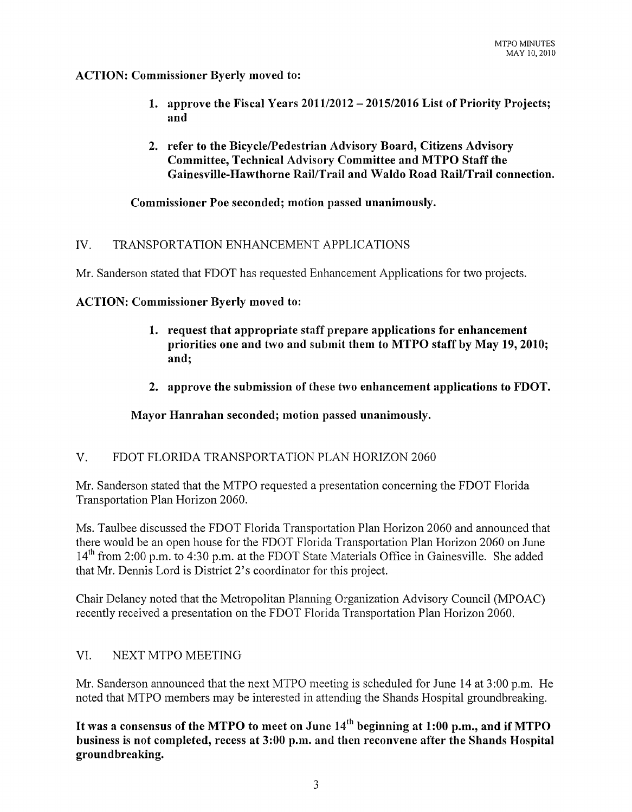### **ACTION: Commissioner Byerly moved to:**

- **1. approve the Fiscal Years 201112012 - 2015/2016 List of Priority Projects; and**
- 2. **refer to the Bicycle/Pedestrian Advisory Board, Citizens Advisory Committee, Technical Advisory Committee and MTPO Staff the Gainesville-Hawthorne Rail/Trail and Waldo Road Rail/Trail connection.**

**Commissioner Poe seconded; motion passed unanimously.** 

# IV. TRANSPORTATION ENHANCEMENT APPLICATIONS

Mr. Sanderson stated that FDOT has requested Enhancement Applications for two projects.

### **ACTION: Commissioner Byerly moved to:**

- **1. request that appropriate staff prepare applications for enhancement priorities one and two and submit them to MTPO staff by May 19,2010; and;**
- **2. approve the submission of these two enhancement applications to FDOT.**

# **Mayor Hanrahan seconded; motion passed unanimously.**

# V. FDOT FLORIDA TRANSPORTATION PLAN HORIZON 2060

Mr. Sanderson stated that the MTPO requested a presentation concerning the FDOT Florida Transportation Plan Horizon 2060.

Ms. Taulbee discussed the FDOT Florida Transportation Plan Horizon 2060 and announced that there would be an open house for the FDOT Florida Transportation Plan Horizon 2060 on June 14<sup>th</sup> from 2:00 p.m. to 4:30 p.m. at the FDOT State Materials Office in Gainesville. She added that Mr. Dennis Lord is District 2's coordinator for this project.

Chair Delaney noted that the Metropolitan Planning Organization Advisory Council (MPOAC) recently received a presentation on the FDOT Florida Transportation Plan Horizon 2060.

# VI. NEXT MTPO MEETING

Mr. Sanderson announced that the next MTPO meeting is scheduled for June 14 at 3:00 p.m. He noted that MTPO members may be interested in attending the Shands Hospital groundbreaking.

It was a consensus of the MTPO to meet on June 14<sup>th</sup> beginning at 1:00 p.m., and if MTPO **business is not completed, recess at 3:00 p.m. and then reconvene after the Shands Hospital groundbreaking.**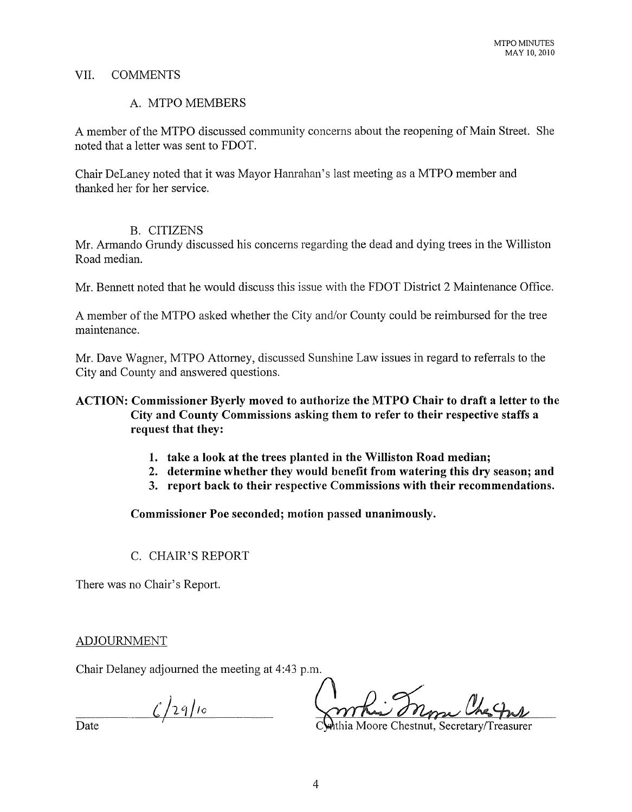### VII. COMMENTS

### A. MTPO MEMBERS

A member of the MTPO discussed community concerns about the reopening of Main Street. She noted that a letter was sent to FDOT.

Chair DeLaney noted that it was Mayor Hanrahan's last meeting as a MTPO member and thanked her for her service.

#### B. CITIZENS

Mr. Armando Grundy discussed his concerns regarding the dead and dying trees in the Williston Road median.

Mr. Bennett noted that he would discuss this issue with the FDOT District 2 Maintenance Office.

A member of the MTPO asked whether the City and/or County could be reimbursed for the tree maintenance.

Mr. Dave Wagner, MTPO Attorney, discussed Sunshine Law issues in regard to referrals to the City and County and answered questions.

## **ACTION: Commissioner Byerly moved to authorize the MTPO Chair to draft a letter to the City and County Commissions asking them to refer to their respective staffs a request that they:**

- **1. take a look at the trees planted in the Williston Road median;**
- **2. determine whether they would benefit from watering this dry season; and**
- **3. report back to their respective Commissions with their recommendations.**

**Commissioner Poe seconded; motion passed unanimously.** 

# C. CHAIR'S REPORT

There was no Chair's Report.

#### ADJOURNMENT

Chair Delaney adjourned the meeting at 4:43 p.m.

 $\frac{1}{2}$ /29/10

Date thia Moore Chestnut, Secretary/Treasurer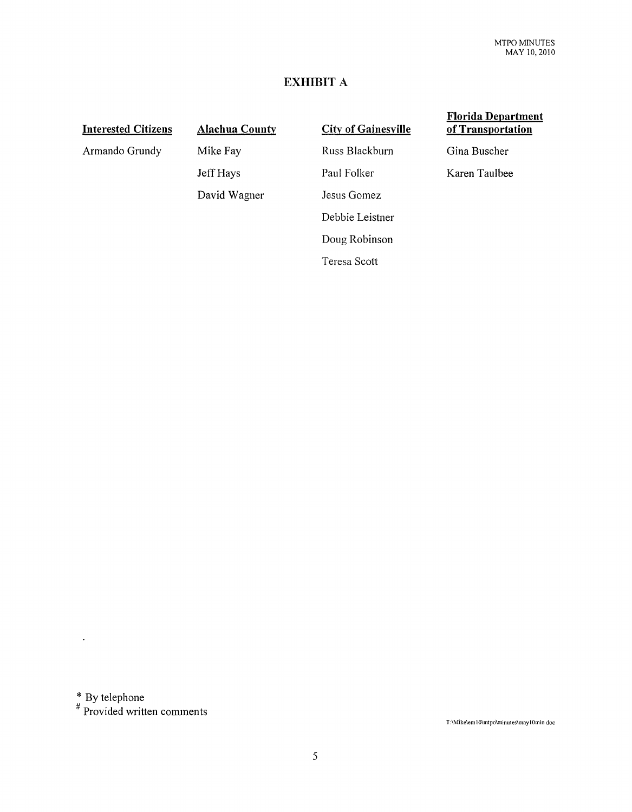## **EXHIBIT A**

### **Interested Citizens**

Armando Grundy

**Alachua County**  Mike Fay Jeff Hays David Wagner

**City of Gainesville**  Russ Blackburn Paul Folker Jesus Gomez Debbie Leistner Doug Robinson Teresa Scott

#### **Florida Department of Transportation**

Gina Buscher

Karen Taulbee

 $*$  By telephone

 $\ddot{\phantom{a}}$ 

# Provided written comments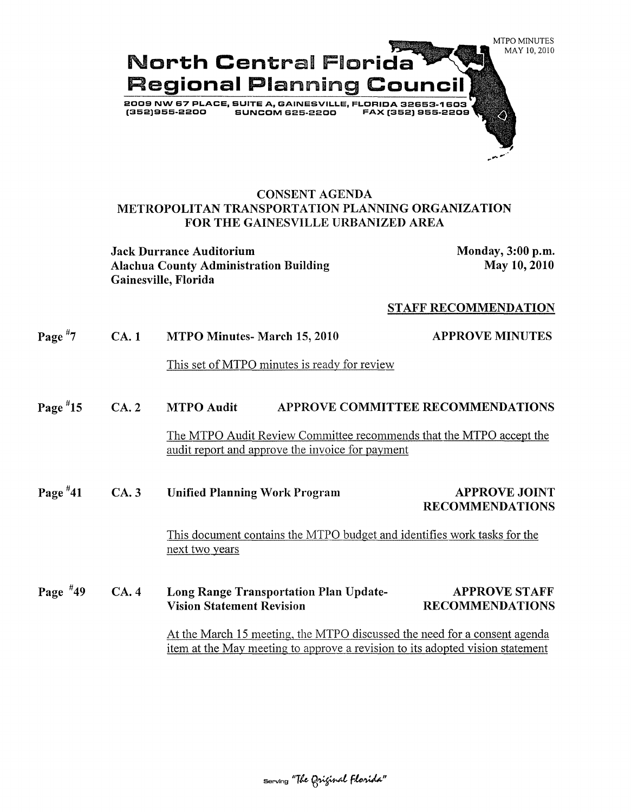

### CONSENT AGENDA METROPOLITAN TRANSPORTATION PLANNING ORGANIZATION FOR THE GAINESVILLE URBANIZED AREA

Jack Durrance Auditorium Monday, 3:00 p.m. Alachua County Administration Building Gainesville, Florida

May 10,2010

#### STAFF RECOMMENDATION

| Page $*7$                                                                                                                                                  | <b>CA.1</b> | MTPO Minutes- March 15, 2010                                                                                            | <b>APPROVE MINUTES</b>                         |
|------------------------------------------------------------------------------------------------------------------------------------------------------------|-------------|-------------------------------------------------------------------------------------------------------------------------|------------------------------------------------|
|                                                                                                                                                            |             | This set of MTPO minutes is ready for review                                                                            |                                                |
| Page $*15$                                                                                                                                                 | CA.2        | APPROVE COMMITTEE RECOMMENDATIONS<br><b>MTPO Audit</b>                                                                  |                                                |
|                                                                                                                                                            |             | The MTPO Audit Review Committee recommends that the MTPO accept the<br>audit report and approve the invoice for payment |                                                |
| Page $*41$                                                                                                                                                 | CA.3        | <b>Unified Planning Work Program</b>                                                                                    | <b>APPROVE JOINT</b><br><b>RECOMMENDATIONS</b> |
|                                                                                                                                                            |             | This document contains the MTPO budget and identifies work tasks for the<br>next two years                              |                                                |
| Page $*49$                                                                                                                                                 | CA.4        | Long Range Transportation Plan Update-<br><b>Vision Statement Revision</b>                                              | <b>APPROVE STAFF</b><br><b>RECOMMENDATIONS</b> |
| At the March 15 meeting, the MTPO discussed the need for a consent agenda<br>item at the May meeting to approve a revision to its adopted vision statement |             |                                                                                                                         |                                                |